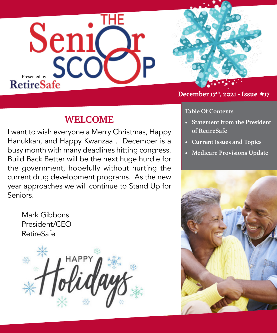



# **WELCOME**

I want to wish everyone a Merry Christmas, Happy Hanukkah, and Happy Kwanzaa . December is a busy month with many deadlines hitting congress. Build Back Better will be the next huge hurdle for the government, hopefully without hurting the current drug development programs. As the new year approaches we will continue to Stand Up for Seniors.

Mark Gibbons [President/CEO](https://www.marca.com/en/lifestyle/us-news/2021/11/14/61913bb846163fb39d8b4602.html) **RetireSafe** 



### **Table Of Contents**

- **• Statement from the President of RetireSafe**
- **• Current Issues and Topics**
- **• Medicare Provisions Update**